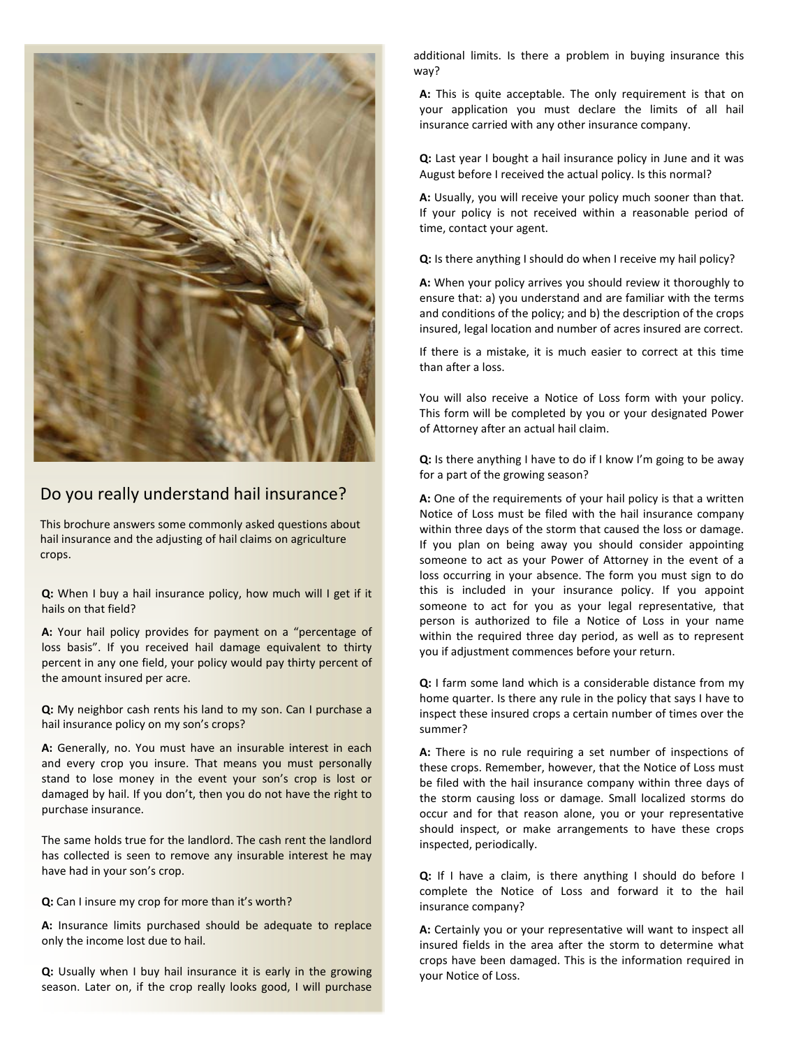

# Do you really understand hail insurance?

This brochure answers some commonly asked questions about hail insurance and the adjusting of hail claims on agriculture crops.

**Q:** When I buy a hail insurance policy, how much will I get if it hails on that field?

**A:** Your hail policy provides for payment on a "percentage of loss basis". If you received hail damage equivalent to thirty percent in any one field, your policy would pay thirty percent of the amount insured per acre.

**Q:** My neighbor cash rents his land to my son. Can I purchase a hail insurance policy on my son's crops?

**A:** Generally, no. You must have an insurable interest in each and every crop you insure. That means you must personally stand to lose money in the event your son's crop is lost or damaged by hail. If you don't, then you do not have the right to purchase insurance.

The same holds true for the landlord. The cash rent the landlord has collected is seen to remove any insurable interest he may have had in your son's crop.

**Q:** Can I insure my crop for more than it's worth?

**A:** Insurance limits purchased should be adequate to replace only the income lost due to hail.

**Q:** Usually when I buy hail insurance it is early in the growing season. Later on, if the crop really looks good, I will purchase additional limits. Is there a problem in buying insurance this way?

**A:** This is quite acceptable. The only requirement is that on your application you must declare the limits of all hail insurance carried with any other insurance company.

**Q:** Last year I bought a hail insurance policy in June and it was August before I received the actual policy. Is this normal?

**A:** Usually, you will receive your policy much sooner than that. If your policy is not received within a reasonable period of time, contact your agent.

**Q:** Is there anything I should do when I receive my hail policy?

**A:** When your policy arrives you should review it thoroughly to ensure that: a) you understand and are familiar with the terms and conditions of the policy; and b) the description of the crops insured, legal location and number of acres insured are correct.

If there is a mistake, it is much easier to correct at this time than after a loss.

You will also receive a Notice of Loss form with your policy. This form will be completed by you or your designated Power of Attorney after an actual hail claim.

**Q:** Is there anything I have to do if I know I'm going to be away for a part of the growing season?

**A:** One of the requirements of your hail policy is that a written Notice of Loss must be filed with the hail insurance company within three days of the storm that caused the loss or damage. If you plan on being away you should consider appointing someone to act as your Power of Attorney in the event of a loss occurring in your absence. The form you must sign to do this is included in your insurance policy. If you appoint someone to act for you as your legal representative, that person is authorized to file a Notice of Loss in your name within the required three day period, as well as to represent you if adjustment commences before your return.

**Q:** I farm some land which is a considerable distance from my home quarter. Is there any rule in the policy that says I have to inspect these insured crops a certain number of times over the summer?

**A:** There is no rule requiring a set number of inspections of these crops. Remember, however, that the Notice of Loss must be filed with the hail insurance company within three days of the storm causing loss or damage. Small localized storms do occur and for that reason alone, you or your representative should inspect, or make arrangements to have these crops inspected, periodically.

**Q:** If I have a claim, is there anything I should do before I complete the Notice of Loss and forward it to the hail insurance company?

**A:** Certainly you or your representative will want to inspect all insured fields in the area after the storm to determine what crops have been damaged. This is the information required in your Notice of Loss.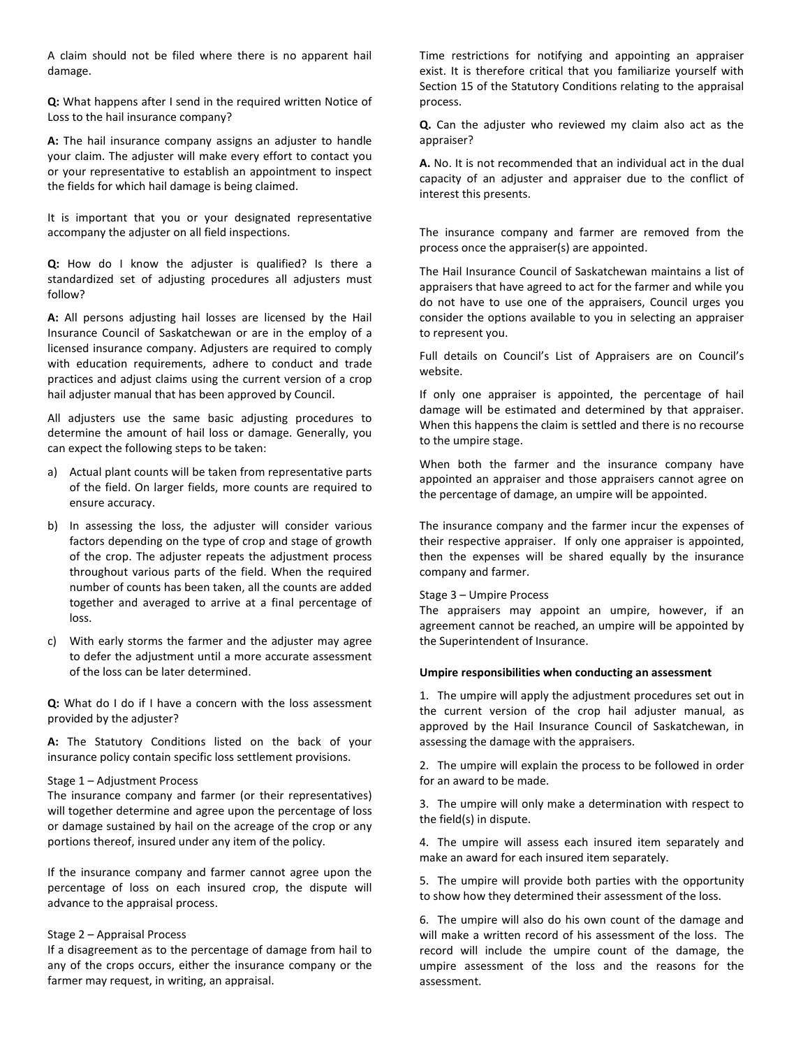A claim should not be filed where there is no apparent hail damage.

**Q:** What happens after I send in the required written Notice of Loss to the hail insurance company?

**A:** The hail insurance company assigns an adjuster to handle your claim. The adjuster will make every effort to contact you or your representative to establish an appointment to inspect the fields for which hail damage is being claimed.

It is important that you or your designated representative accompany the adjuster on all field inspections.

**Q:** How do I know the adjuster is qualified? Is there a standardized set of adjusting procedures all adjusters must follow?

**A:** All persons adjusting hail losses are licensed by the Hail Insurance Council of Saskatchewan or are in the employ of a licensed insurance company. Adjusters are required to comply with education requirements, adhere to conduct and trade practices and adjust claims using the current version of a crop hail adjuster manual that has been approved by Council.

All adjusters use the same basic adjusting procedures to determine the amount of hail loss or damage. Generally, you can expect the following steps to be taken:

- a) Actual plant counts will be taken from representative parts of the field. On larger fields, more counts are required to ensure accuracy.
- b) In assessing the loss, the adjuster will consider various factors depending on the type of crop and stage of growth of the crop. The adjuster repeats the adjustment process throughout various parts of the field. When the required number of counts has been taken, all the counts are added together and averaged to arrive at a final percentage of loss.
- c) With early storms the farmer and the adjuster may agree to defer the adjustment until a more accurate assessment of the loss can be later determined.

**Q:** What do I do if I have a concern with the loss assessment provided by the adjuster?

**A:** The Statutory Conditions listed on the back of your insurance policy contain specific loss settlement provisions.

#### Stage 1 – Adjustment Process

The insurance company and farmer (or their representatives) will together determine and agree upon the percentage of loss or damage sustained by hail on the acreage of the crop or any portions thereof, insured under any item of the policy.

If the insurance company and farmer cannot agree upon the percentage of loss on each insured crop, the dispute will advance to the appraisal process.

#### Stage 2 – Appraisal Process

If a disagreement as to the percentage of damage from hail to any of the crops occurs, either the insurance company or the farmer may request, in writing, an appraisal.

Time restrictions for notifying and appointing an appraiser exist. It is therefore critical that you familiarize yourself with Section 15 of the Statutory Conditions relating to the appraisal process.

**Q.** Can the adjuster who reviewed my claim also act as the appraiser?

**A.** No. It is not recommended that an individual act in the dual capacity of an adjuster and appraiser due to the conflict of interest this presents.

The insurance company and farmer are removed from the process once the appraiser(s) are appointed.

The Hail Insurance Council of Saskatchewan maintains a list of appraisers that have agreed to act for the farmer and while you do not have to use one of the appraisers, Council urges you consider the options available to you in selecting an appraiser to represent you.

Full details on Council's List of Appraisers are on Council's website.

If only one appraiser is appointed, the percentage of hail damage will be estimated and determined by that appraiser. When this happens the claim is settled and there is no recourse to the umpire stage.

When both the farmer and the insurance company have appointed an appraiser and those appraisers cannot agree on the percentage of damage, an umpire will be appointed.

The insurance company and the farmer incur the expenses of their respective appraiser. If only one appraiser is appointed, then the expenses will be shared equally by the insurance company and farmer.

#### Stage 3 – Umpire Process

The appraisers may appoint an umpire, however, if an agreement cannot be reached, an umpire will be appointed by the Superintendent of Insurance.

### **Umpire responsibilities when conducting an assessment**

1. The umpire will apply the adjustment procedures set out in the current version of the crop hail adjuster manual, as approved by the Hail Insurance Council of Saskatchewan, in assessing the damage with the appraisers.

2. The umpire will explain the process to be followed in order for an award to be made.

3. The umpire will only make a determination with respect to the field(s) in dispute.

4. The umpire will assess each insured item separately and make an award for each insured item separately.

5. The umpire will provide both parties with the opportunity to show how they determined their assessment of the loss.

6. The umpire will also do his own count of the damage and will make a written record of his assessment of the loss. The record will include the umpire count of the damage, the umpire assessment of the loss and the reasons for the assessment.